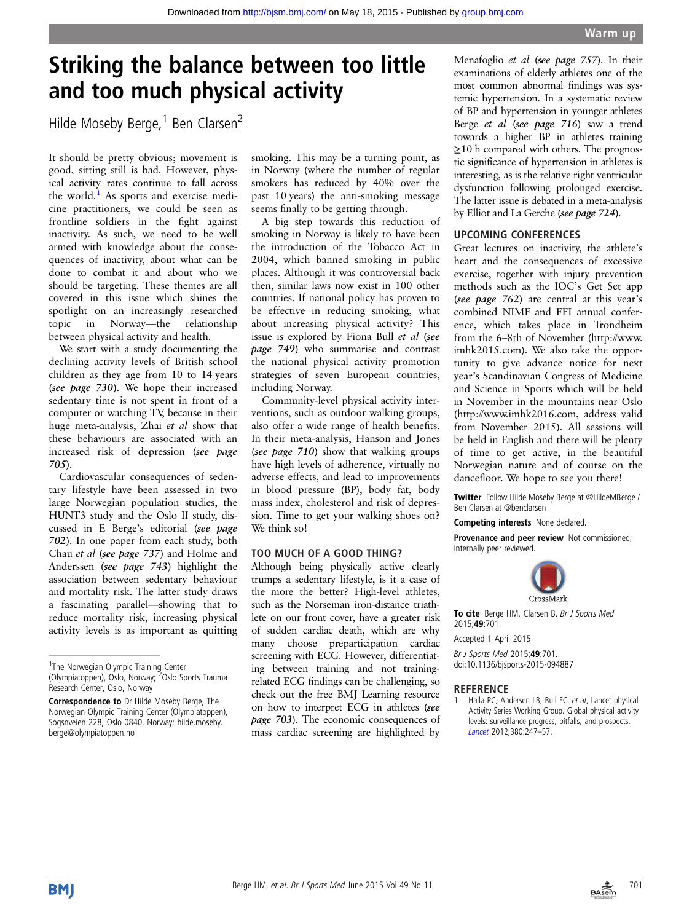# Striking the balance between too little and too much physical activity

Hilde Moseby Berge,<sup>1</sup> Ben Clarsen<sup>2</sup>

It should be pretty obvious; movement is good, sitting still is bad. However, physical activity rates continue to fall across the world.<sup>1</sup> As sports and exercise medicine practitioners, we could be seen as frontline soldiers in the fight against inactivity. As such, we need to be well armed with knowledge about the consequences of inactivity, about what can be done to combat it and about who we should be targeting. These themes are all covered in this issue which shines the spotlight on an increasingly researched topic in Norway—the relationship between physical activity and health.

We start with a study documenting the declining activity levels of British school children as they age from 10 to 14 years (see page 730). We hope their increased sedentary time is not spent in front of a computer or watching TV, because in their huge meta-analysis, Zhai et al show that these behaviours are associated with an increased risk of depression (see page 705).

Cardiovascular consequences of sedentary lifestyle have been assessed in two large Norwegian population studies, the HUNT3 study and the Oslo II study, discussed in E Berge's editorial (see page 702). In one paper from each study, both Chau et al (see page 737) and Holme and Anderssen (see page 743) highlight the association between sedentary behaviour and mortality risk. The latter study draws a fascinating parallel—showing that to reduce mortality risk, increasing physical activity levels is as important as quitting smoking. This may be a turning point, as in Norway (where the number of regular smokers has reduced by 40% over the past 10 years) the anti-smoking message seems finally to be getting through.

A big step towards this reduction of smoking in Norway is likely to have been the introduction of the Tobacco Act in 2004, which banned smoking in public places. Although it was controversial back then, similar laws now exist in 100 other countries. If national policy has proven to be effective in reducing smoking, what about increasing physical activity? This issue is explored by Fiona Bull et al (see page 749) who summarise and contrast the national physical activity promotion strategies of seven European countries, including Norway.

Community-level physical activity interventions, such as outdoor walking groups, also offer a wide range of health benefits. In their meta-analysis, Hanson and Jones (see page 710) show that walking groups have high levels of adherence, virtually no adverse effects, and lead to improvements in blood pressure (BP), body fat, body mass index, cholesterol and risk of depression. Time to get your walking shoes on? We think so!

#### TOO MUCH OF A GOOD THING?

Although being physically active clearly trumps a sedentary lifestyle, is it a case of the more the better? High-level athletes, such as the Norseman iron-distance triathlete on our front cover, have a greater risk of sudden cardiac death, which are why many choose preparticipation cardiac screening with ECG. However, differentiating between training and not trainingrelated ECG findings can be challenging, so check out the free BMJ Learning resource on how to interpret ECG in athletes (see page 703). The economic consequences of mass cardiac screening are highlighted by

Menafoglio et al (see page 757). In their examinations of elderly athletes one of the most common abnormal findings was systemic hypertension. In a systematic review of BP and hypertension in younger athletes Berge et al (see page 716) saw a trend towards a higher BP in athletes training  $\geq$ 10 h compared with others. The prognostic significance of hypertension in athletes is interesting, as is the relative right ventricular dysfunction following prolonged exercise. The latter issue is debated in a meta-analysis by Elliot and La Gerche (see page 724).

#### UPCOMING CONFERENCES

Great lectures on inactivity, the athlete's heart and the consequences of excessive exercise, together with injury prevention methods such as the IOC's Get Set app (see page 762) are central at this year's combined NIMF and FFI annual conference, which takes place in Trondheim from the 6–8th of November [\(http://www.](http://www.imhk2015.com) [imhk2015.com\)](http://www.imhk2015.com). We also take the opportunity to give advance notice for next year's Scandinavian Congress of Medicine and Science in Sports which will be held in November in the mountains near Oslo ([http://www.imhk2016.com,](http://www.imhk2016.com) address valid from November 2015). All sessions will be held in English and there will be plenty of time to get active, in the beautiful Norwegian nature and of course on the dancefloor. We hope to see you there!

Twitter Follow Hilde Moseby Berge at [@HildeMBerge](http://twitter.com/HildeMBerge) / Ben Clarsen at [@benclarsen](http://twitter.com/benclarsen)

Competing interests None declared.

Provenance and peer review Not commissioned; internally peer reviewed.



To cite Berge HM, Clarsen B. Br J Sports Med 2015;49:701.

Accepted 1 April 2015

Br J Sports Med 2015;49:701. doi:10.1136/bjsports-2015-094887

## **REFERENCE**<br>1 Halla PC, An

Halla PC, Andersen LB, Bull FC, et al, Lancet physical Activity Series Working Group. Global physical activity levels: surveillance progress, pitfalls, and prospects. [Lancet](http://dx.doi.org/10.1016/S0140-6736(12)60646-1) 2012;380:247–57.

<sup>&</sup>lt;sup>1</sup>The Norwegian Olympic Training Center (Olympiatoppen), Oslo, Norway; <sup>2</sup>Oslo Sports Trauma Research Center, Oslo, Norway

Correspondence to Dr Hilde Moseby Berge, The Norwegian Olympic Training Center (Olympiatoppen), Sogsnveien 228, Oslo 0840, Norway; hilde.moseby. berge@olympiatoppen.no